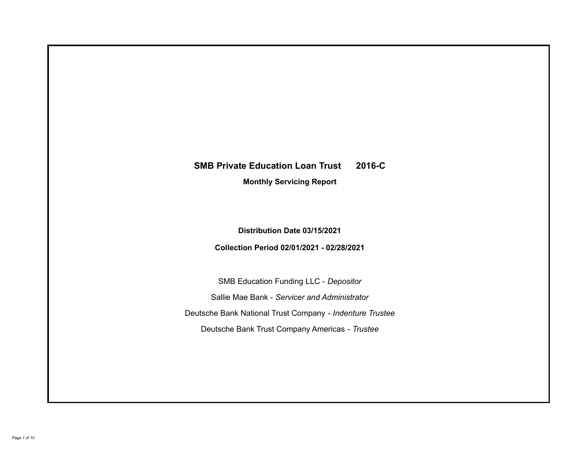# **SMB Private Education Loan Trust 2016-C**

**Monthly Servicing Report**

**Distribution Date 03/15/2021**

**Collection Period 02/01/2021 - 02/28/2021**

SMB Education Funding LLC - *Depositor* Sallie Mae Bank - *Servicer and Administrator* Deutsche Bank National Trust Company - *Indenture Trustee* Deutsche Bank Trust Company Americas - *Trustee*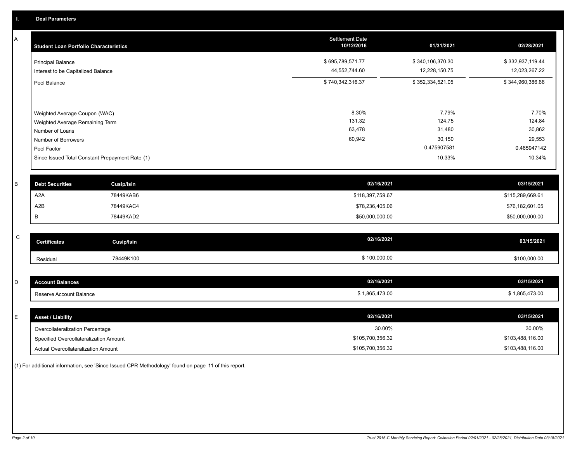A

| <b>Student Loan Portfolio Characteristics</b>   | <b>Settlement Date</b><br>10/12/2016 | 01/31/2021       | 02/28/2021       |
|-------------------------------------------------|--------------------------------------|------------------|------------------|
| <b>Principal Balance</b>                        | \$695,789,571.77                     | \$340,106,370.30 | \$332,937,119.44 |
| Interest to be Capitalized Balance              | 44,552,744.60                        | 12,228,150.75    | 12,023,267.22    |
| Pool Balance                                    | \$740,342,316.37                     | \$352,334,521.05 | \$344,960,386.66 |
|                                                 |                                      |                  |                  |
| Weighted Average Coupon (WAC)                   | 8.30%                                | 7.79%            | 7.70%            |
| Weighted Average Remaining Term                 | 131.32                               | 124.75           | 124.84           |
| Number of Loans                                 | 63,478                               | 31,480           | 30,862           |
| Number of Borrowers                             | 60,942                               | 30,150           | 29,553           |
| Pool Factor                                     |                                      | 0.475907581      | 0.465947142      |
| Since Issued Total Constant Prepayment Rate (1) |                                      | 10.33%           | 10.34%           |
| <b>Debt Securities</b><br><b>Cusip/Isin</b>     | 02/16/2021                           |                  | 03/15/2021       |

| <b>Debt Securities</b> | Cusip/Isin | 02/16/2021       | 03/15/2021       |
|------------------------|------------|------------------|------------------|
| A2A                    | 78449KAB6  | \$118,397,759.67 | \$115,289,669.61 |
| A <sub>2</sub> B       | 78449KAC4  | \$78,236,405.06  | \$76,182,601.05  |
|                        | 78449KAD2  | \$50,000,000.00  | \$50,000,000.00  |

| $\overline{\phantom{0}}$<br>u | <b>Jertificates</b> | Cusip/Isin | 02/16/2021   | 03/15/2021   |
|-------------------------------|---------------------|------------|--------------|--------------|
|                               | Residual            | 78449K100  | \$100,000.00 | \$100,000.00 |

| -<br>⊷ | count Balances          | 02/16/2021   | 03/15/2021                   |
|--------|-------------------------|--------------|------------------------------|
|        | Reserve Account Balance | 1,865,473.00 | 865,473.00<br>$\overline{A}$ |

| E. | <b>Asset / Liability</b>               | 02/16/2021       | 03/15/2021       |
|----|----------------------------------------|------------------|------------------|
|    | Overcollateralization Percentage       | 30.00%           | 30.00%           |
|    | Specified Overcollateralization Amount | \$105,700,356.32 | \$103,488,116.00 |
|    | Actual Overcollateralization Amount    | \$105,700,356.32 | \$103,488,116.00 |

(1) For additional information, see 'Since Issued CPR Methodology' found on page 11 of this report.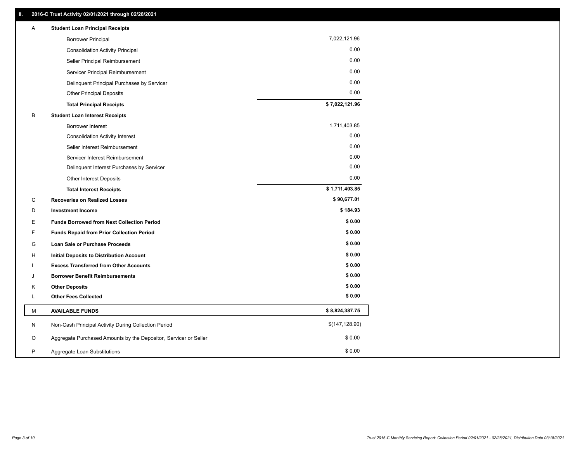| Α | <b>Student Loan Principal Receipts</b>                           |                 |
|---|------------------------------------------------------------------|-----------------|
|   | <b>Borrower Principal</b>                                        | 7,022,121.96    |
|   | <b>Consolidation Activity Principal</b>                          | 0.00            |
|   | Seller Principal Reimbursement                                   | 0.00            |
|   | Servicer Principal Reimbursement                                 | 0.00            |
|   | Delinquent Principal Purchases by Servicer                       | 0.00            |
|   | <b>Other Principal Deposits</b>                                  | 0.00            |
|   | <b>Total Principal Receipts</b>                                  | \$7,022,121.96  |
| B | <b>Student Loan Interest Receipts</b>                            |                 |
|   | Borrower Interest                                                | 1,711,403.85    |
|   | <b>Consolidation Activity Interest</b>                           | 0.00            |
|   | Seller Interest Reimbursement                                    | 0.00            |
|   | Servicer Interest Reimbursement                                  | 0.00            |
|   | Delinquent Interest Purchases by Servicer                        | 0.00            |
|   | Other Interest Deposits                                          | 0.00            |
|   | <b>Total Interest Receipts</b>                                   | \$1,711,403.85  |
| С | <b>Recoveries on Realized Losses</b>                             | \$90,677.01     |
| D | <b>Investment Income</b>                                         | \$184.93        |
| Е | <b>Funds Borrowed from Next Collection Period</b>                | \$0.00          |
| F | <b>Funds Repaid from Prior Collection Period</b>                 | \$0.00          |
| G | Loan Sale or Purchase Proceeds                                   | \$0.00          |
| н | <b>Initial Deposits to Distribution Account</b>                  | \$0.00          |
|   | <b>Excess Transferred from Other Accounts</b>                    | \$0.00          |
| J | <b>Borrower Benefit Reimbursements</b>                           | \$0.00          |
| Κ | <b>Other Deposits</b>                                            | \$0.00          |
| L | <b>Other Fees Collected</b>                                      | \$0.00          |
| М | <b>AVAILABLE FUNDS</b>                                           | \$8,824,387.75  |
| N | Non-Cash Principal Activity During Collection Period             | \$(147, 128.90) |
| O | Aggregate Purchased Amounts by the Depositor, Servicer or Seller | \$0.00          |
| P | Aggregate Loan Substitutions                                     | \$0.00          |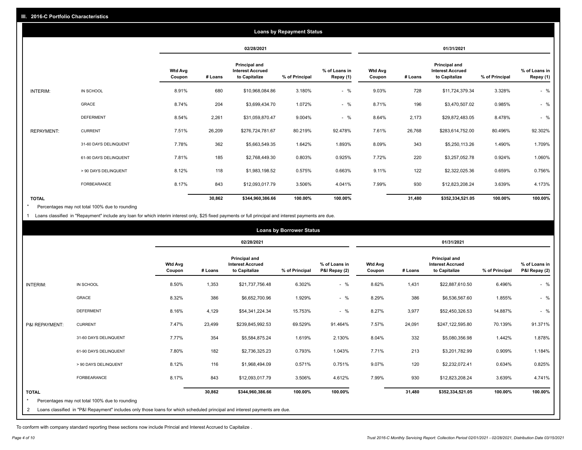|                   |                       |                          |         |                                                           | <b>Loans by Repayment Status</b> |                            |                          |         |                                                                  |                |                            |
|-------------------|-----------------------|--------------------------|---------|-----------------------------------------------------------|----------------------------------|----------------------------|--------------------------|---------|------------------------------------------------------------------|----------------|----------------------------|
|                   |                       |                          |         | 02/28/2021                                                |                                  |                            |                          |         | 01/31/2021                                                       |                |                            |
|                   |                       | <b>Wtd Avg</b><br>Coupon | # Loans | Principal and<br><b>Interest Accrued</b><br>to Capitalize | % of Principal                   | % of Loans in<br>Repay (1) | <b>Wtd Avg</b><br>Coupon | # Loans | <b>Principal and</b><br><b>Interest Accrued</b><br>to Capitalize | % of Principal | % of Loans in<br>Repay (1) |
| INTERIM:          | IN SCHOOL             | 8.91%                    | 680     | \$10,968,084.86                                           | 3.180%                           | $-$ %                      | 9.03%                    | 728     | \$11,724,379.34                                                  | 3.328%         | $-$ %                      |
|                   | <b>GRACE</b>          | 8.74%                    | 204     | \$3,699,434.70                                            | 1.072%                           | $-$ %                      | 8.71%                    | 196     | \$3,470,507.02                                                   | 0.985%         | $-$ %                      |
|                   | <b>DEFERMENT</b>      | 8.54%                    | 2,261   | \$31,059,870.47                                           | 9.004%                           | $-$ %                      | 8.64%                    | 2,173   | \$29,872,483.05                                                  | 8.478%         | $-$ %                      |
| <b>REPAYMENT:</b> | <b>CURRENT</b>        | 7.51%                    | 26,209  | \$276,724,781.67                                          | 80.219%                          | 92.478%                    | 7.61%                    | 26,768  | \$283,614,752.00                                                 | 80.496%        | 92.302%                    |
|                   | 31-60 DAYS DELINQUENT | 7.78%                    | 362     | \$5,663,549.35                                            | 1.642%                           | 1.893%                     | 8.09%                    | 343     | \$5,250,113.26                                                   | 1.490%         | 1.709%                     |
|                   | 61-90 DAYS DELINQUENT | 7.81%                    | 185     | \$2,768,449.30                                            | 0.803%                           | 0.925%                     | 7.72%                    | 220     | \$3,257,052.78                                                   | 0.924%         | 1.060%                     |
|                   | > 90 DAYS DELINQUENT  | 8.12%                    | 118     | \$1,983,198.52                                            | 0.575%                           | 0.663%                     | 9.11%                    | 122     | \$2,322,025.36                                                   | 0.659%         | 0.756%                     |
|                   | <b>FORBEARANCE</b>    | 8.17%                    | 843     | \$12,093,017.79                                           | 3.506%                           | 4.041%                     | 7.99%                    | 930     | \$12,823,208.24                                                  | 3.639%         | 4.173%                     |
| <b>TOTAL</b>      |                       |                          | 30,862  | \$344,960,386.66                                          | 100.00%                          | 100.00%                    |                          | 31,480  | \$352,334,521.05                                                 | 100.00%        | 100.00%                    |

Percentages may not total 100% due to rounding \*

1 Loans classified in "Repayment" include any loan for which interim interest only, \$25 fixed payments or full principal and interest payments are due.

|                |                                                                                                                            |                          |         |                                                           | <b>Loans by Borrower Status</b> |                                |                          |         |                                                                  |                |                                |
|----------------|----------------------------------------------------------------------------------------------------------------------------|--------------------------|---------|-----------------------------------------------------------|---------------------------------|--------------------------------|--------------------------|---------|------------------------------------------------------------------|----------------|--------------------------------|
|                |                                                                                                                            |                          |         | 02/28/2021                                                |                                 |                                |                          |         | 01/31/2021                                                       |                |                                |
|                |                                                                                                                            | <b>Wtd Avg</b><br>Coupon | # Loans | Principal and<br><b>Interest Accrued</b><br>to Capitalize | % of Principal                  | % of Loans in<br>P&I Repay (2) | <b>Wtd Avg</b><br>Coupon | # Loans | <b>Principal and</b><br><b>Interest Accrued</b><br>to Capitalize | % of Principal | % of Loans in<br>P&I Repay (2) |
| INTERIM:       | IN SCHOOL                                                                                                                  | 8.50%                    | 1,353   | \$21,737,756.48                                           | 6.302%                          | $-$ %                          | 8.62%                    | 1,431   | \$22,887,610.50                                                  | 6.496%         | $-$ %                          |
|                | <b>GRACE</b>                                                                                                               | 8.32%                    | 386     | \$6,652,700.96                                            | 1.929%                          | $-$ %                          | 8.29%                    | 386     | \$6,536,567.60                                                   | 1.855%         | $-$ %                          |
|                | <b>DEFERMENT</b>                                                                                                           | 8.16%                    | 4,129   | \$54,341,224.34                                           | 15.753%                         | $-$ %                          | 8.27%                    | 3,977   | \$52,450,326.53                                                  | 14.887%        | $-$ %                          |
| P&I REPAYMENT: | <b>CURRENT</b>                                                                                                             | 7.47%                    | 23,499  | \$239,845,992.53                                          | 69.529%                         | 91.464%                        | 7.57%                    | 24,091  | \$247,122,595.80                                                 | 70.139%        | 91.371%                        |
|                | 31-60 DAYS DELINQUENT                                                                                                      | 7.77%                    | 354     | \$5,584,875.24                                            | 1.619%                          | 2.130%                         | 8.04%                    | 332     | \$5,080,356.98                                                   | 1.442%         | 1.878%                         |
|                | 61-90 DAYS DELINQUENT                                                                                                      | 7.80%                    | 182     | \$2,736,325.23                                            | 0.793%                          | 1.043%                         | 7.71%                    | 213     | \$3,201,782.99                                                   | 0.909%         | 1.184%                         |
|                | > 90 DAYS DELINQUENT                                                                                                       | 8.12%                    | 116     | \$1,968,494.09                                            | 0.571%                          | 0.751%                         | 9.07%                    | 120     | \$2,232,072.41                                                   | 0.634%         | 0.825%                         |
|                | FORBEARANCE                                                                                                                | 8.17%                    | 843     | \$12,093,017.79                                           | 3.506%                          | 4.612%                         | 7.99%                    | 930     | \$12,823,208.24                                                  | 3.639%         | 4.741%                         |
| <b>TOTAL</b>   | Percentages may not total 100% due to rounding                                                                             |                          | 30,862  | \$344,960,386.66                                          | 100.00%                         | 100.00%                        |                          | 31,480  | \$352,334,521.05                                                 | 100.00%        | 100.00%                        |
| 2              | Loans classified in "P&I Repayment" includes only those loans for which scheduled principal and interest payments are due. |                          |         |                                                           |                                 |                                |                          |         |                                                                  |                |                                |

To conform with company standard reporting these sections now include Princial and Interest Accrued to Capitalize .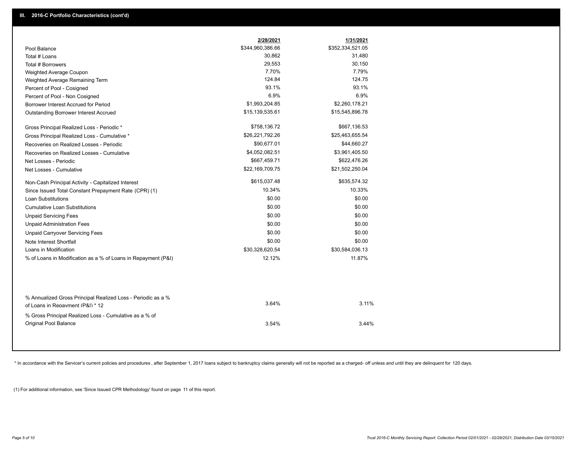|                                                                                                  | 2/28/2021        | 1/31/2021        |
|--------------------------------------------------------------------------------------------------|------------------|------------------|
| Pool Balance                                                                                     | \$344,960,386.66 | \$352,334,521.05 |
| Total # Loans                                                                                    | 30,862           | 31,480           |
| Total # Borrowers                                                                                | 29,553           | 30,150           |
| Weighted Average Coupon                                                                          | 7.70%            | 7.79%            |
| Weighted Average Remaining Term                                                                  | 124.84           | 124.75           |
| Percent of Pool - Cosigned                                                                       | 93.1%            | 93.1%            |
| Percent of Pool - Non Cosigned                                                                   | 6.9%             | 6.9%             |
| Borrower Interest Accrued for Period                                                             | \$1,993,204.85   | \$2,260,178.21   |
| <b>Outstanding Borrower Interest Accrued</b>                                                     | \$15,139,535.61  | \$15,545,896.78  |
| Gross Principal Realized Loss - Periodic *                                                       | \$758,136.72     | \$667,136.53     |
| Gross Principal Realized Loss - Cumulative *                                                     | \$26,221,792.26  | \$25,463,655.54  |
| Recoveries on Realized Losses - Periodic                                                         | \$90,677.01      | \$44,660.27      |
| Recoveries on Realized Losses - Cumulative                                                       | \$4,052,082.51   | \$3,961,405.50   |
| Net Losses - Periodic                                                                            | \$667,459.71     | \$622,476.26     |
| Net Losses - Cumulative                                                                          | \$22,169,709.75  | \$21,502,250.04  |
| Non-Cash Principal Activity - Capitalized Interest                                               | \$615,037.48     | \$635,574.32     |
| Since Issued Total Constant Prepayment Rate (CPR) (1)                                            | 10.34%           | 10.33%           |
| <b>Loan Substitutions</b>                                                                        | \$0.00           | \$0.00           |
| <b>Cumulative Loan Substitutions</b>                                                             | \$0.00           | \$0.00           |
| <b>Unpaid Servicing Fees</b>                                                                     | \$0.00           | \$0.00           |
| <b>Unpaid Administration Fees</b>                                                                | \$0.00           | \$0.00           |
| <b>Unpaid Carryover Servicing Fees</b>                                                           | \$0.00           | \$0.00           |
| Note Interest Shortfall                                                                          | \$0.00           | \$0.00           |
| Loans in Modification                                                                            | \$30,328,620.54  | \$30,584,036.13  |
| % of Loans in Modification as a % of Loans in Repayment (P&I)                                    | 12.12%           | 11.87%           |
|                                                                                                  |                  |                  |
| % Annualized Gross Principal Realized Loss - Periodic as a %<br>of Loans in Repayment (P&I) * 12 | 3.64%            | 3.11%            |
| % Gross Principal Realized Loss - Cumulative as a % of<br>Original Pool Balance                  | 3.54%            | 3.44%            |
|                                                                                                  |                  |                  |

\* In accordance with the Servicer's current policies and procedures, after September 1, 2017 loans subject to bankruptcy claims generally will not be reported as a charged- off unless and until they are delinquent for 120

(1) For additional information, see 'Since Issued CPR Methodology' found on page 11 of this report.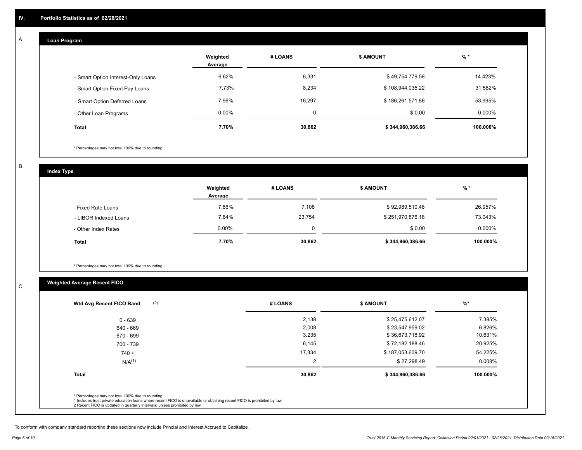#### **Loan Program**  A

|                                    | Weighted<br>Average | # LOANS | <b>\$ AMOUNT</b> | $%$ *     |
|------------------------------------|---------------------|---------|------------------|-----------|
| - Smart Option Interest-Only Loans | 6.62%               | 6,331   | \$49,754,779.58  | 14.423%   |
| - Smart Option Fixed Pay Loans     | 7.73%               | 8,234   | \$108,944,035.22 | 31.582%   |
| - Smart Option Deferred Loans      | 7.96%               | 16.297  | \$186,261,571.86 | 53.995%   |
| - Other Loan Programs              | $0.00\%$            | 0       | \$0.00           | $0.000\%$ |
| <b>Total</b>                       | 7.70%               | 30,862  | \$344,960,386.66 | 100.000%  |

\* Percentages may not total 100% due to rounding

B

C

**Index Type**

|                       | Weighted<br>Average | # LOANS  | \$ AMOUNT        | % *      |
|-----------------------|---------------------|----------|------------------|----------|
| - Fixed Rate Loans    | 7.86%               | 7,108    | \$92,989,510.48  | 26.957%  |
| - LIBOR Indexed Loans | 7.64%               | 23,754   | \$251,970,876.18 | 73.043%  |
| - Other Index Rates   | $0.00\%$            | $\Omega$ | \$0.00           | 0.000%   |
| <b>Total</b>          | 7.70%               | 30,862   | \$344,960,386.66 | 100.000% |

\* Percentages may not total 100% due to rounding

# **Weighted Average Recent FICO**

| $0 - 639$    |        |                  |           |
|--------------|--------|------------------|-----------|
|              | 2,138  | \$25,475,612.07  | 7.385%    |
| 640 - 669    | 2,008  | \$23,547,959.02  | 6.826%    |
| 670 - 699    | 3,235  | \$36,673,718.92  | 10.631%   |
| 700 - 739    | 6,145  | \$72,182,188.46  | 20.925%   |
| $740 +$      | 17,334 | \$187,053,609.70 | 54.225%   |
| $N/A^{(1)}$  | 2      | \$27,298.49      | $0.008\%$ |
| <b>Total</b> | 30,862 | \$344,960,386.66 | 100.000%  |

To conform with company standard reporting these sections now include Princial and Interest Accrued to Capitalize .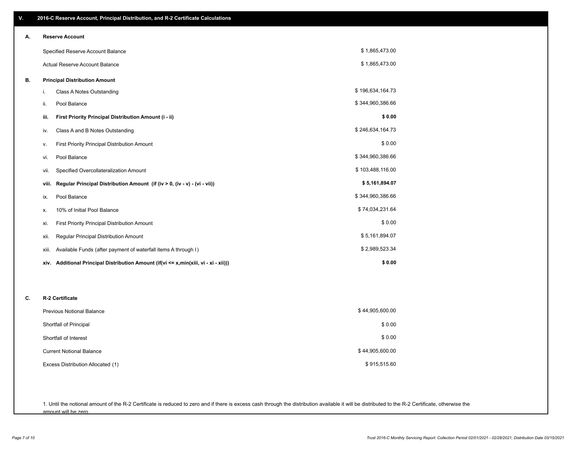| ٧. | 2016-C Reserve Account, Principal Distribution, and R-2 Certificate Calculations     |                  |
|----|--------------------------------------------------------------------------------------|------------------|
| А. | <b>Reserve Account</b>                                                               |                  |
|    | Specified Reserve Account Balance                                                    | \$1,865,473.00   |
|    | Actual Reserve Account Balance                                                       | \$1,865,473.00   |
| В. | <b>Principal Distribution Amount</b>                                                 |                  |
|    | Class A Notes Outstanding<br>i.                                                      | \$196,634,164.73 |
|    | Pool Balance<br>ii.                                                                  | \$344,960,386.66 |
|    | First Priority Principal Distribution Amount (i - ii)<br>iii.                        | \$0.00           |
|    | Class A and B Notes Outstanding<br>iv.                                               | \$246,634,164.73 |
|    | First Priority Principal Distribution Amount<br>۷.                                   | \$0.00           |
|    | Pool Balance<br>vi.                                                                  | \$344,960,386.66 |
|    | Specified Overcollateralization Amount<br>vii.                                       | \$103,488,116.00 |
|    | Regular Principal Distribution Amount (if (iv > 0, (iv - v) - (vi - vii))<br>viii.   | \$5,161,894.07   |
|    | Pool Balance<br>ix.                                                                  | \$344,960,386.66 |
|    | 10% of Initial Pool Balance<br>х.                                                    | \$74,034,231.64  |
|    | <b>First Priority Principal Distribution Amount</b><br>xi.                           | \$0.00           |
|    | Regular Principal Distribution Amount<br>xii.                                        | \$5,161,894.07   |
|    | Available Funds (after payment of waterfall items A through I)<br>xiii.              | \$2,989,523.34   |
|    | xiv. Additional Principal Distribution Amount (if(vi <= x,min(xiii, vi - xi - xii))) | \$0.00           |
|    |                                                                                      |                  |
| C. | R-2 Certificate                                                                      |                  |
|    | <b>Previous Notional Balance</b>                                                     | \$44,905,600.00  |
|    | Shortfall of Principal                                                               | \$0.00           |
|    | Shortfall of Interest                                                                | \$0.00           |
|    | <b>Current Notional Balance</b>                                                      | \$44,905,600.00  |
|    | Excess Distribution Allocated (1)                                                    | \$915,515.60     |
|    |                                                                                      |                  |

1. Until the notional amount of the R-2 Certificate is reduced to zero and if there is excess cash through the distribution available it will be distributed to the R-2 Certificate, otherwise the amount will be zero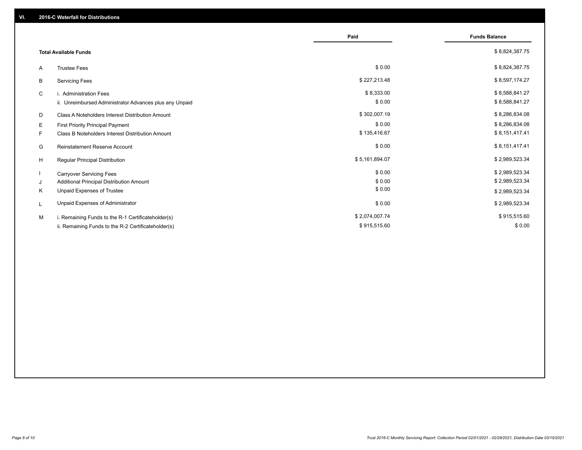|                                                         | Paid           | <b>Funds Balance</b> |
|---------------------------------------------------------|----------------|----------------------|
| <b>Total Available Funds</b>                            |                | \$8,824,387.75       |
| <b>Trustee Fees</b><br>A                                | \$0.00         | \$8,824,387.75       |
| B<br><b>Servicing Fees</b>                              | \$227,213.48   | \$8,597,174.27       |
| C<br>i. Administration Fees                             | \$8,333.00     | \$8,588,841.27       |
| ii. Unreimbursed Administrator Advances plus any Unpaid | \$0.00         | \$8,588,841.27       |
| D<br>Class A Noteholders Interest Distribution Amount   | \$302,007.19   | \$8,286,834.08       |
| E.<br>First Priority Principal Payment                  | \$0.00         | \$8,286,834.08       |
| F.<br>Class B Noteholders Interest Distribution Amount  | \$135,416.67   | \$8,151,417.41       |
| G<br><b>Reinstatement Reserve Account</b>               | \$0.00         | \$8,151,417.41       |
| H<br><b>Regular Principal Distribution</b>              | \$5,161,894.07 | \$2,989,523.34       |
| <b>Carryover Servicing Fees</b>                         | \$0.00         | \$2,989,523.34       |
| Additional Principal Distribution Amount<br>J           | \$0.00         | \$2,989,523.34       |
| Unpaid Expenses of Trustee<br>K                         | \$0.00         | \$2,989,523.34       |
| Unpaid Expenses of Administrator<br>L                   | \$0.00         | \$2,989,523.34       |
| M<br>i. Remaining Funds to the R-1 Certificateholder(s) | \$2,074,007.74 | \$915,515.60         |
| ii. Remaining Funds to the R-2 Certificateholder(s)     | \$915,515.60   | \$0.00               |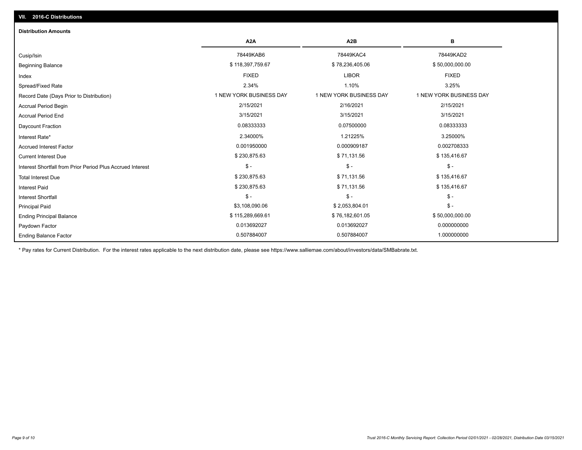| <b>Distribution Amounts</b>                                |                         |                         |                         |  |  |  |  |
|------------------------------------------------------------|-------------------------|-------------------------|-------------------------|--|--|--|--|
|                                                            | A <sub>2</sub> A        | A <sub>2</sub> B        | в                       |  |  |  |  |
| Cusip/Isin                                                 | 78449KAB6               | 78449KAC4               | 78449KAD2               |  |  |  |  |
| <b>Beginning Balance</b>                                   | \$118,397,759.67        | \$78,236,405.06         | \$50,000,000.00         |  |  |  |  |
| Index                                                      | <b>FIXED</b>            | <b>LIBOR</b>            | <b>FIXED</b>            |  |  |  |  |
| Spread/Fixed Rate                                          | 2.34%                   | 1.10%                   | 3.25%                   |  |  |  |  |
| Record Date (Days Prior to Distribution)                   | 1 NEW YORK BUSINESS DAY | 1 NEW YORK BUSINESS DAY | 1 NEW YORK BUSINESS DAY |  |  |  |  |
| <b>Accrual Period Begin</b>                                | 2/15/2021               | 2/16/2021               | 2/15/2021               |  |  |  |  |
| <b>Accrual Period End</b>                                  | 3/15/2021               | 3/15/2021               | 3/15/2021               |  |  |  |  |
| Daycount Fraction                                          | 0.08333333              | 0.07500000              | 0.08333333              |  |  |  |  |
| Interest Rate*                                             | 2.34000%                | 1.21225%                | 3.25000%                |  |  |  |  |
| <b>Accrued Interest Factor</b>                             | 0.001950000             | 0.000909187             | 0.002708333             |  |  |  |  |
| <b>Current Interest Due</b>                                | \$230,875.63            | \$71,131.56             | \$135,416.67            |  |  |  |  |
| Interest Shortfall from Prior Period Plus Accrued Interest | $\mathsf{\$}$ -         | $\mathsf{\$}$ -         | $$ -$                   |  |  |  |  |
| <b>Total Interest Due</b>                                  | \$230,875.63            | \$71,131.56             | \$135,416.67            |  |  |  |  |
| <b>Interest Paid</b>                                       | \$230,875.63            | \$71,131.56             | \$135,416.67            |  |  |  |  |
| <b>Interest Shortfall</b>                                  | $$ -$                   | $$ -$                   | $$ -$                   |  |  |  |  |
| <b>Principal Paid</b>                                      | \$3,108,090.06          | \$2,053,804.01          | $$ -$                   |  |  |  |  |
| <b>Ending Principal Balance</b>                            | \$115,289,669.61        | \$76,182,601.05         | \$50,000,000.00         |  |  |  |  |
| Paydown Factor                                             | 0.013692027             | 0.013692027             | 0.000000000             |  |  |  |  |
| <b>Ending Balance Factor</b>                               | 0.507884007             | 0.507884007             | 1.000000000             |  |  |  |  |

\* Pay rates for Current Distribution. For the interest rates applicable to the next distribution date, please see https://www.salliemae.com/about/investors/data/SMBabrate.txt.

**VII. 2016-C Distributions**